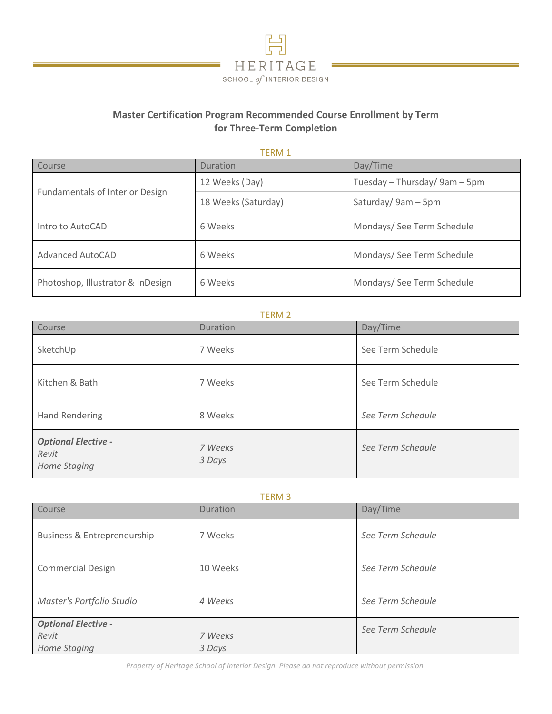

# **Master Certification Program Recommended Course Enrollment by Term for Three-Term Completion**

TERM 1

| Course                                 | Duration            | Day/Time                      |
|----------------------------------------|---------------------|-------------------------------|
| <b>Fundamentals of Interior Design</b> | 12 Weeks (Day)      | Tuesday - Thursday/ 9am - 5pm |
|                                        | 18 Weeks (Saturday) | Saturday/9am-5pm              |
| Intro to AutoCAD                       | 6 Weeks             | Mondays/ See Term Schedule    |
| <b>Advanced AutoCAD</b>                | 6 Weeks             | Mondays/ See Term Schedule    |
| Photoshop, Illustrator & InDesign      | 6 Weeks             | Mondays/ See Term Schedule    |

### TERM 2

| Course                                              | <b>Duration</b>   | Day/Time          |
|-----------------------------------------------------|-------------------|-------------------|
| SketchUp                                            | 7 Weeks           | See Term Schedule |
| Kitchen & Bath                                      | 7 Weeks           | See Term Schedule |
| <b>Hand Rendering</b>                               | 8 Weeks           | See Term Schedule |
| <b>Optional Elective -</b><br>Revit<br>Home Staging | 7 Weeks<br>3 Days | See Term Schedule |

| <b>TERM3</b>                                        |                   |                   |  |  |
|-----------------------------------------------------|-------------------|-------------------|--|--|
| Course                                              | Duration          | Day/Time          |  |  |
| Business & Entrepreneurship                         | 7 Weeks           | See Term Schedule |  |  |
| <b>Commercial Design</b>                            | 10 Weeks          | See Term Schedule |  |  |
| Master's Portfolio Studio                           | 4 Weeks           | See Term Schedule |  |  |
| <b>Optional Elective -</b><br>Revit<br>Home Staging | 7 Weeks<br>3 Days | See Term Schedule |  |  |

*Property of Heritage School of Interior Design. Please do not reproduce without permission.*